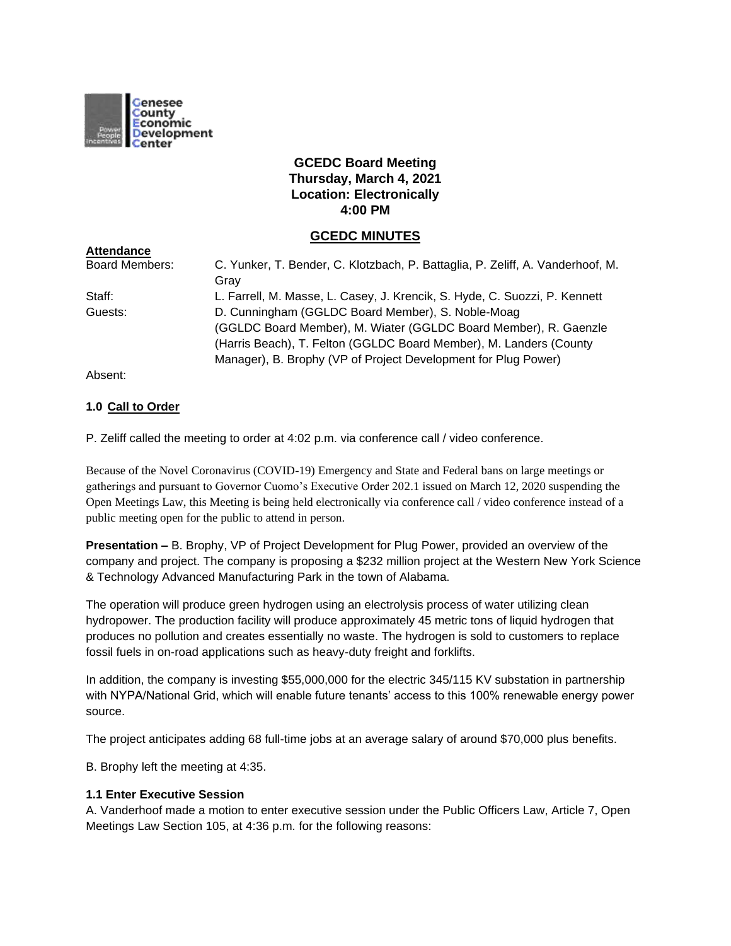

# **GCEDC Board Meeting Thursday, March 4, 2021 Location: Electronically 4:00 PM**

## **GCEDC MINUTES**

| <b>Attendance</b>     |                                                                                |
|-----------------------|--------------------------------------------------------------------------------|
| <b>Board Members:</b> | C. Yunker, T. Bender, C. Klotzbach, P. Battaglia, P. Zeliff, A. Vanderhoof, M. |
|                       | Grav                                                                           |
| Staff:                | L. Farrell, M. Masse, L. Casey, J. Krencik, S. Hyde, C. Suozzi, P. Kennett     |
| Guests:               | D. Cunningham (GGLDC Board Member), S. Noble-Moag                              |
|                       | (GGLDC Board Member), M. Wiater (GGLDC Board Member), R. Gaenzle               |
|                       | (Harris Beach), T. Felton (GGLDC Board Member), M. Landers (County             |
|                       | Manager), B. Brophy (VP of Project Development for Plug Power)                 |

Absent:

### **1.0 Call to Order**

P. Zeliff called the meeting to order at 4:02 p.m. via conference call / video conference.

Because of the Novel Coronavirus (COVID-19) Emergency and State and Federal bans on large meetings or gatherings and pursuant to Governor Cuomo's Executive Order 202.1 issued on March 12, 2020 suspending the Open Meetings Law, this Meeting is being held electronically via conference call / video conference instead of a public meeting open for the public to attend in person.

**Presentation –** B. Brophy, VP of Project Development for Plug Power, provided an overview of the company and project. The company is proposing a \$232 million project at the Western New York Science & Technology Advanced Manufacturing Park in the town of Alabama.

The operation will produce green hydrogen using an electrolysis process of water utilizing clean hydropower. The production facility will produce approximately 45 metric tons of liquid hydrogen that produces no pollution and creates essentially no waste. The hydrogen is sold to customers to replace fossil fuels in on-road applications such as heavy-duty freight and forklifts.

In addition, the company is investing \$55,000,000 for the electric 345/115 KV substation in partnership with NYPA/National Grid, which will enable future tenants' access to this 100% renewable energy power source.

The project anticipates adding 68 full-time jobs at an average salary of around \$70,000 plus benefits.

B. Brophy left the meeting at 4:35.

### **1.1 Enter Executive Session**

A. Vanderhoof made a motion to enter executive session under the Public Officers Law, Article 7, Open Meetings Law Section 105, at 4:36 p.m. for the following reasons: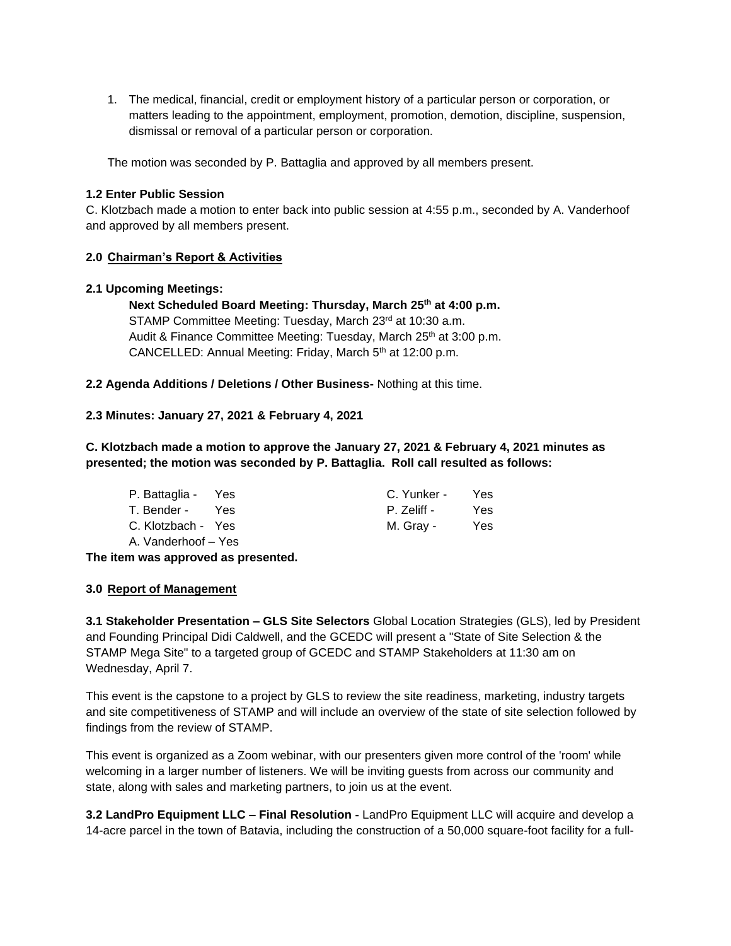1. The medical, financial, credit or employment history of a particular person or corporation, or matters leading to the appointment, employment, promotion, demotion, discipline, suspension, dismissal or removal of a particular person or corporation.

The motion was seconded by P. Battaglia and approved by all members present.

### **1.2 Enter Public Session**

C. Klotzbach made a motion to enter back into public session at 4:55 p.m., seconded by A. Vanderhoof and approved by all members present.

### **2.0 Chairman's Report & Activities**

### **2.1 Upcoming Meetings:**

**Next Scheduled Board Meeting: Thursday, March 25th at 4:00 p.m.** STAMP Committee Meeting: Tuesday, March 23rd at 10:30 a.m. Audit & Finance Committee Meeting: Tuesday, March 25<sup>th</sup> at 3:00 p.m. CANCELLED: Annual Meeting: Friday, March 5<sup>th</sup> at 12:00 p.m.

**2.2 Agenda Additions / Deletions / Other Business-** Nothing at this time.

### **2.3 Minutes: January 27, 2021 & February 4, 2021**

**C. Klotzbach made a motion to approve the January 27, 2021 & February 4, 2021 minutes as presented; the motion was seconded by P. Battaglia. Roll call resulted as follows:**

| P. Battaglia - Yes  | C. Yunker - | Yes. |
|---------------------|-------------|------|
| T. Bender - Yes     | P. Zeliff - | Yes. |
| C. Klotzbach - Yes  | M. Gray -   | Yes. |
| A. Vanderhoof – Yes |             |      |

**The item was approved as presented.**

## **3.0 Report of Management**

**3.1 Stakeholder Presentation – GLS Site Selectors** Global Location Strategies (GLS), led by President and Founding Principal Didi Caldwell, and the GCEDC will present a "State of Site Selection & the STAMP Mega Site" to a targeted group of GCEDC and STAMP Stakeholders at 11:30 am on Wednesday, April 7.

This event is the capstone to a project by GLS to review the site readiness, marketing, industry targets and site competitiveness of STAMP and will include an overview of the state of site selection followed by findings from the review of STAMP.

This event is organized as a Zoom webinar, with our presenters given more control of the 'room' while welcoming in a larger number of listeners. We will be inviting guests from across our community and state, along with sales and marketing partners, to join us at the event.

**3.2 LandPro Equipment LLC – Final Resolution -** LandPro Equipment LLC will acquire and develop a 14-acre parcel in the town of Batavia, including the construction of a 50,000 square-foot facility for a full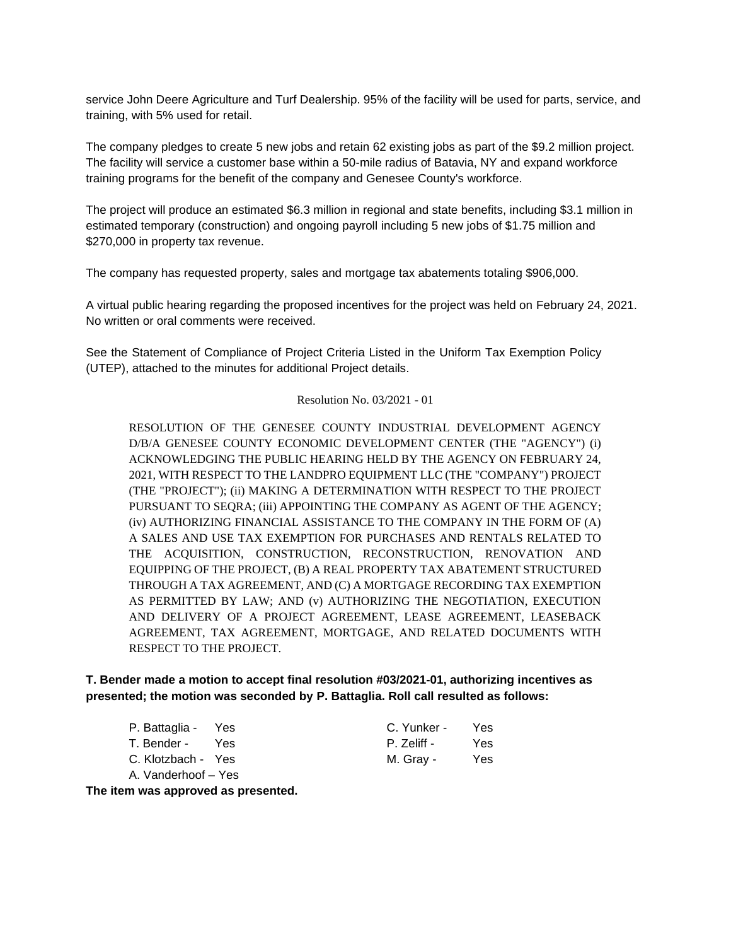service John Deere Agriculture and Turf Dealership. 95% of the facility will be used for parts, service, and training, with 5% used for retail.

The company pledges to create 5 new jobs and retain 62 existing jobs as part of the \$9.2 million project. The facility will service a customer base within a 50-mile radius of Batavia, NY and expand workforce training programs for the benefit of the company and Genesee County's workforce.

The project will produce an estimated \$6.3 million in regional and state benefits, including \$3.1 million in estimated temporary (construction) and ongoing payroll including 5 new jobs of \$1.75 million and \$270,000 in property tax revenue.

The company has requested property, sales and mortgage tax abatements totaling \$906,000.

A virtual public hearing regarding the proposed incentives for the project was held on February 24, 2021. No written or oral comments were received.

See the Statement of Compliance of Project Criteria Listed in the Uniform Tax Exemption Policy (UTEP), attached to the minutes for additional Project details.

#### Resolution No. 03/2021 - 01

RESOLUTION OF THE GENESEE COUNTY INDUSTRIAL DEVELOPMENT AGENCY D/B/A GENESEE COUNTY ECONOMIC DEVELOPMENT CENTER (THE "AGENCY") (i) ACKNOWLEDGING THE PUBLIC HEARING HELD BY THE AGENCY ON FEBRUARY 24, 2021, WITH RESPECT TO THE LANDPRO EQUIPMENT LLC (THE "COMPANY") PROJECT (THE "PROJECT"); (ii) MAKING A DETERMINATION WITH RESPECT TO THE PROJECT PURSUANT TO SEQRA; (iii) APPOINTING THE COMPANY AS AGENT OF THE AGENCY; (iv) AUTHORIZING FINANCIAL ASSISTANCE TO THE COMPANY IN THE FORM OF (A) A SALES AND USE TAX EXEMPTION FOR PURCHASES AND RENTALS RELATED TO THE ACQUISITION, CONSTRUCTION, RECONSTRUCTION, RENOVATION AND EQUIPPING OF THE PROJECT, (B) A REAL PROPERTY TAX ABATEMENT STRUCTURED THROUGH A TAX AGREEMENT, AND (C) A MORTGAGE RECORDING TAX EXEMPTION AS PERMITTED BY LAW; AND (v) AUTHORIZING THE NEGOTIATION, EXECUTION AND DELIVERY OF A PROJECT AGREEMENT, LEASE AGREEMENT, LEASEBACK AGREEMENT, TAX AGREEMENT, MORTGAGE, AND RELATED DOCUMENTS WITH RESPECT TO THE PROJECT.

## **T. Bender made a motion to accept final resolution #03/2021-01, authorizing incentives as presented; the motion was seconded by P. Battaglia. Roll call resulted as follows:**

| P. Battaglia - Yes  |     | C. Yunker - | <b>Yes</b> |
|---------------------|-----|-------------|------------|
| T. Bender -         | Yes | P. Zeliff - | Yes        |
| C. Klotzbach - Yes  |     | M. Gray -   | Yes        |
| A. Vanderhoof - Yes |     |             |            |

**The item was approved as presented.**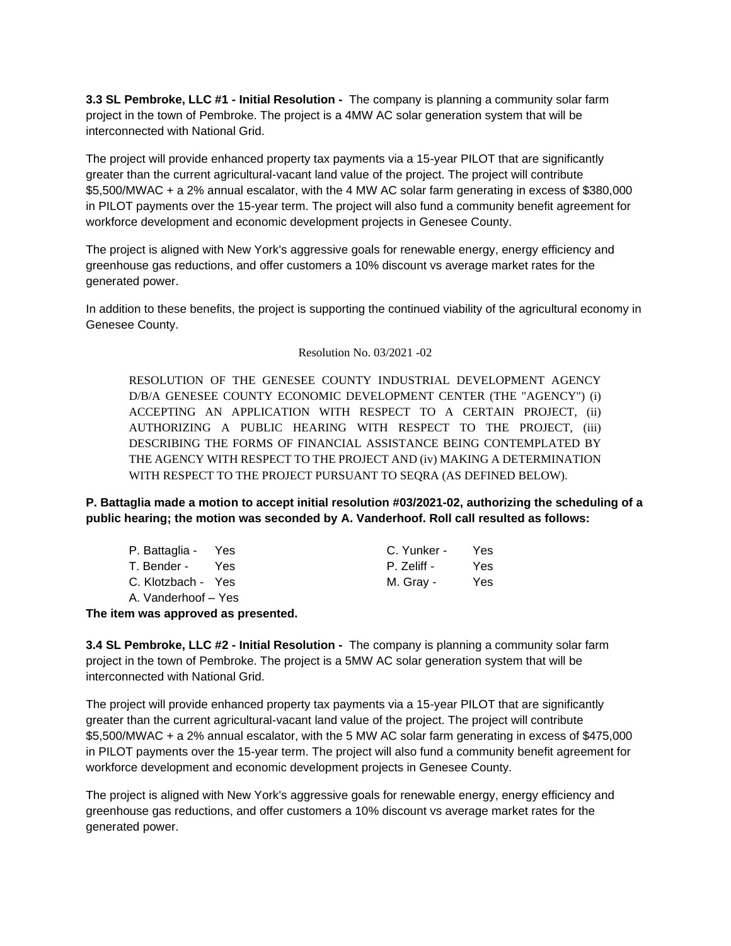**3.3 SL Pembroke, LLC #1 - Initial Resolution -** The company is planning a community solar farm project in the town of Pembroke. The project is a 4MW AC solar generation system that will be interconnected with National Grid.

The project will provide enhanced property tax payments via a 15-year PILOT that are significantly greater than the current agricultural-vacant land value of the project. The project will contribute \$5,500/MWAC + a 2% annual escalator, with the 4 MW AC solar farm generating in excess of \$380,000 in PILOT payments over the 15-year term. The project will also fund a community benefit agreement for workforce development and economic development projects in Genesee County.

The project is aligned with New York's aggressive goals for renewable energy, energy efficiency and greenhouse gas reductions, and offer customers a 10% discount vs average market rates for the generated power.

In addition to these benefits, the project is supporting the continued viability of the agricultural economy in Genesee County.

### Resolution No. 03/2021 -02

RESOLUTION OF THE GENESEE COUNTY INDUSTRIAL DEVELOPMENT AGENCY D/B/A GENESEE COUNTY ECONOMIC DEVELOPMENT CENTER (THE "AGENCY") (i) ACCEPTING AN APPLICATION WITH RESPECT TO A CERTAIN PROJECT, (ii) AUTHORIZING A PUBLIC HEARING WITH RESPECT TO THE PROJECT, (iii) DESCRIBING THE FORMS OF FINANCIAL ASSISTANCE BEING CONTEMPLATED BY THE AGENCY WITH RESPECT TO THE PROJECT AND (iv) MAKING A DETERMINATION WITH RESPECT TO THE PROJECT PURSUANT TO SEQRA (AS DEFINED BELOW).

**P. Battaglia made a motion to accept initial resolution #03/2021-02, authorizing the scheduling of a public hearing; the motion was seconded by A. Vanderhoof. Roll call resulted as follows:**

| P. Battaglia - Yes  |       | C. Yunker - | Yes. |
|---------------------|-------|-------------|------|
| T. Bender -         | - Yes | P. Zeliff - | Yes. |
| C. Klotzbach - Yes  |       | M. Gray -   | Yes  |
| A. Vanderhoof - Yes |       |             |      |

**The item was approved as presented.**

**3.4 SL Pembroke, LLC #2 - Initial Resolution -** The company is planning a community solar farm project in the town of Pembroke. The project is a 5MW AC solar generation system that will be interconnected with National Grid.

The project will provide enhanced property tax payments via a 15-year PILOT that are significantly greater than the current agricultural-vacant land value of the project. The project will contribute \$5,500/MWAC + a 2% annual escalator, with the 5 MW AC solar farm generating in excess of \$475,000 in PILOT payments over the 15-year term. The project will also fund a community benefit agreement for workforce development and economic development projects in Genesee County.

The project is aligned with New York's aggressive goals for renewable energy, energy efficiency and greenhouse gas reductions, and offer customers a 10% discount vs average market rates for the generated power.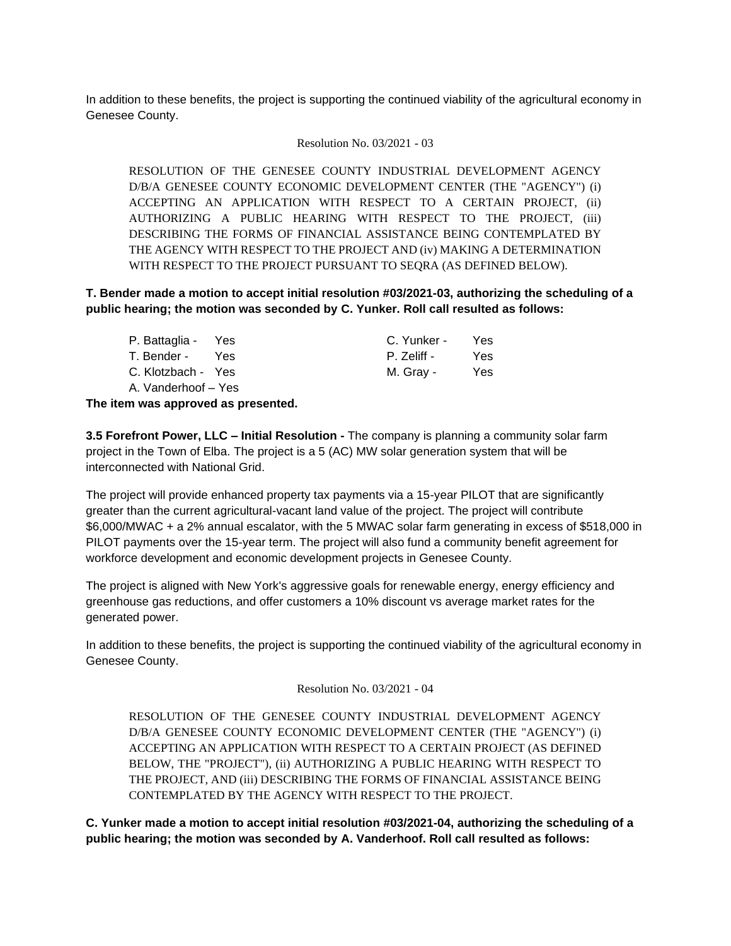In addition to these benefits, the project is supporting the continued viability of the agricultural economy in Genesee County.

#### Resolution No. 03/2021 - 03

RESOLUTION OF THE GENESEE COUNTY INDUSTRIAL DEVELOPMENT AGENCY D/B/A GENESEE COUNTY ECONOMIC DEVELOPMENT CENTER (THE "AGENCY") (i) ACCEPTING AN APPLICATION WITH RESPECT TO A CERTAIN PROJECT, (ii) AUTHORIZING A PUBLIC HEARING WITH RESPECT TO THE PROJECT, (iii) DESCRIBING THE FORMS OF FINANCIAL ASSISTANCE BEING CONTEMPLATED BY THE AGENCY WITH RESPECT TO THE PROJECT AND (iv) MAKING A DETERMINATION WITH RESPECT TO THE PROJECT PURSUANT TO SEQRA (AS DEFINED BELOW).

**T. Bender made a motion to accept initial resolution #03/2021-03, authorizing the scheduling of a public hearing; the motion was seconded by C. Yunker. Roll call resulted as follows:**

| P. Battaglia - Yes  | C. Yunker - | Yes  |
|---------------------|-------------|------|
| T. Bender - Yes     | P. Zeliff - | Yes. |
| C. Klotzbach - Yes  | M. Gray -   | Yes. |
| A. Vanderhoof – Yes |             |      |
|                     |             |      |

**The item was approved as presented.**

**3.5 Forefront Power, LLC – Initial Resolution -** The company is planning a community solar farm project in the Town of Elba. The project is a 5 (AC) MW solar generation system that will be interconnected with National Grid.

The project will provide enhanced property tax payments via a 15-year PILOT that are significantly greater than the current agricultural-vacant land value of the project. The project will contribute \$6,000/MWAC + a 2% annual escalator, with the 5 MWAC solar farm generating in excess of \$518,000 in PILOT payments over the 15-year term. The project will also fund a community benefit agreement for workforce development and economic development projects in Genesee County.

The project is aligned with New York's aggressive goals for renewable energy, energy efficiency and greenhouse gas reductions, and offer customers a 10% discount vs average market rates for the generated power.

In addition to these benefits, the project is supporting the continued viability of the agricultural economy in Genesee County.

Resolution No. 03/2021 - 04

RESOLUTION OF THE GENESEE COUNTY INDUSTRIAL DEVELOPMENT AGENCY D/B/A GENESEE COUNTY ECONOMIC DEVELOPMENT CENTER (THE "AGENCY") (i) ACCEPTING AN APPLICATION WITH RESPECT TO A CERTAIN PROJECT (AS DEFINED BELOW, THE "PROJECT"), (ii) AUTHORIZING A PUBLIC HEARING WITH RESPECT TO THE PROJECT, AND (iii) DESCRIBING THE FORMS OF FINANCIAL ASSISTANCE BEING CONTEMPLATED BY THE AGENCY WITH RESPECT TO THE PROJECT.

**C. Yunker made a motion to accept initial resolution #03/2021-04, authorizing the scheduling of a public hearing; the motion was seconded by A. Vanderhoof. Roll call resulted as follows:**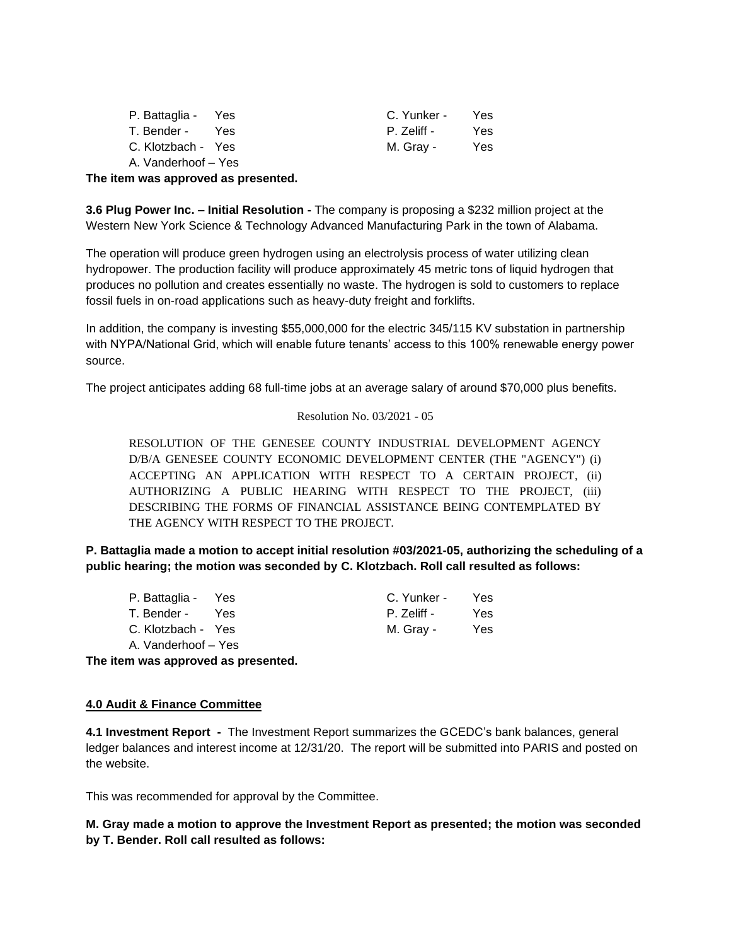| P. Battaglia - Yes  |     | C. Yunker - | Yes. |
|---------------------|-----|-------------|------|
| T. Bender -         | Yes | P. Zeliff - | Yes. |
| C. Klotzbach - Yes  |     | M. Gray -   | Yes. |
| A. Vanderhoof - Yes |     |             |      |

**The item was approved as presented.**

**3.6 Plug Power Inc. – Initial Resolution -** The company is proposing a \$232 million project at the Western New York Science & Technology Advanced Manufacturing Park in the town of Alabama.

The operation will produce green hydrogen using an electrolysis process of water utilizing clean hydropower. The production facility will produce approximately 45 metric tons of liquid hydrogen that produces no pollution and creates essentially no waste. The hydrogen is sold to customers to replace fossil fuels in on-road applications such as heavy-duty freight and forklifts.

In addition, the company is investing \$55,000,000 for the electric 345/115 KV substation in partnership with NYPA/National Grid, which will enable future tenants' access to this 100% renewable energy power source.

The project anticipates adding 68 full-time jobs at an average salary of around \$70,000 plus benefits.

#### Resolution No. 03/2021 - 05

RESOLUTION OF THE GENESEE COUNTY INDUSTRIAL DEVELOPMENT AGENCY D/B/A GENESEE COUNTY ECONOMIC DEVELOPMENT CENTER (THE "AGENCY") (i) ACCEPTING AN APPLICATION WITH RESPECT TO A CERTAIN PROJECT, (ii) AUTHORIZING A PUBLIC HEARING WITH RESPECT TO THE PROJECT, (iii) DESCRIBING THE FORMS OF FINANCIAL ASSISTANCE BEING CONTEMPLATED BY THE AGENCY WITH RESPECT TO THE PROJECT.

**P. Battaglia made a motion to accept initial resolution #03/2021-05, authorizing the scheduling of a public hearing; the motion was seconded by C. Klotzbach. Roll call resulted as follows:**

| P. Battaglia - Yes  | C. Yunker - | Yes. |
|---------------------|-------------|------|
| T. Bender - Yes     | P. Zeliff - | Yes. |
| C. Klotzbach - Yes  | M. Gray -   | Yes. |
| A. Vanderhoof – Yes |             |      |

**The item was approved as presented.**

### **4.0 Audit & Finance Committee**

**4.1 Investment Report -** The Investment Report summarizes the GCEDC's bank balances, general ledger balances and interest income at 12/31/20. The report will be submitted into PARIS and posted on the website.

This was recommended for approval by the Committee.

## **M. Gray made a motion to approve the Investment Report as presented; the motion was seconded by T. Bender. Roll call resulted as follows:**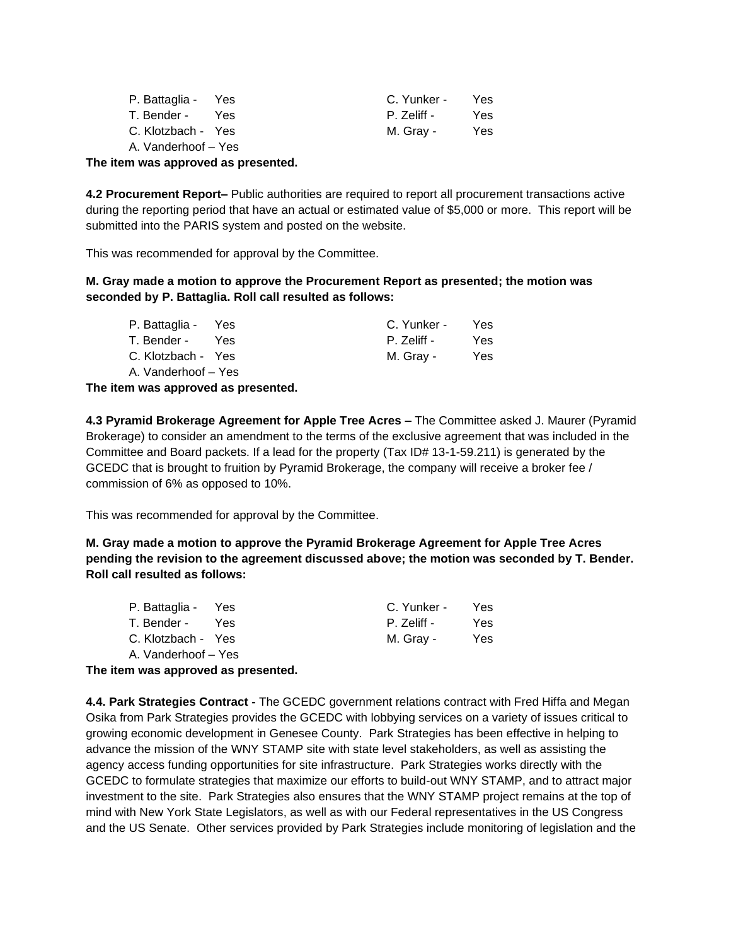| P. Battaglia - Yes  |     | C. Yunker - | Yes. |
|---------------------|-----|-------------|------|
| T. Bender -         | Yes | P. Zeliff - | Yes. |
| C. Klotzbach - Yes  |     | M. Gray -   | Yes. |
| A. Vanderhoof – Yes |     |             |      |

**The item was approved as presented.**

**4.2 Procurement Report–** Public authorities are required to report all procurement transactions active during the reporting period that have an actual or estimated value of \$5,000 or more. This report will be submitted into the PARIS system and posted on the website.

This was recommended for approval by the Committee.

**M. Gray made a motion to approve the Procurement Report as presented; the motion was seconded by P. Battaglia. Roll call resulted as follows:**

| P. Battaglia - Yes  |       | C. Yunker - | Yes. |
|---------------------|-------|-------------|------|
| T. Bender -         | - Yes | P. Zeliff - | Yes. |
| C. Klotzbach - Yes  |       | M. Gray -   | Yes. |
| A. Vanderhoof - Yes |       |             |      |

**The item was approved as presented.**

**4.3 Pyramid Brokerage Agreement for Apple Tree Acres –** The Committee asked J. Maurer (Pyramid Brokerage) to consider an amendment to the terms of the exclusive agreement that was included in the Committee and Board packets. If a lead for the property (Tax ID# 13-1-59.211) is generated by the GCEDC that is brought to fruition by Pyramid Brokerage, the company will receive a broker fee / commission of 6% as opposed to 10%.

This was recommended for approval by the Committee.

**M. Gray made a motion to approve the Pyramid Brokerage Agreement for Apple Tree Acres pending the revision to the agreement discussed above; the motion was seconded by T. Bender. Roll call resulted as follows:**

| P. Battaglia - Yes  |     | C. Yunker - | Yes        |
|---------------------|-----|-------------|------------|
| T. Bender -         | Yes | P. Zeliff - | Yes        |
| C. Klotzbach - Yes  |     | M. Gray -   | <b>Yes</b> |
| A. Vanderhoof – Yes |     |             |            |

**The item was approved as presented.**

**4.4. Park Strategies Contract -** The GCEDC government relations contract with Fred Hiffa and Megan Osika from Park Strategies provides the GCEDC with lobbying services on a variety of issues critical to growing economic development in Genesee County. Park Strategies has been effective in helping to advance the mission of the WNY STAMP site with state level stakeholders, as well as assisting the agency access funding opportunities for site infrastructure. Park Strategies works directly with the GCEDC to formulate strategies that maximize our efforts to build-out WNY STAMP, and to attract major investment to the site. Park Strategies also ensures that the WNY STAMP project remains at the top of mind with New York State Legislators, as well as with our Federal representatives in the US Congress and the US Senate. Other services provided by Park Strategies include monitoring of legislation and the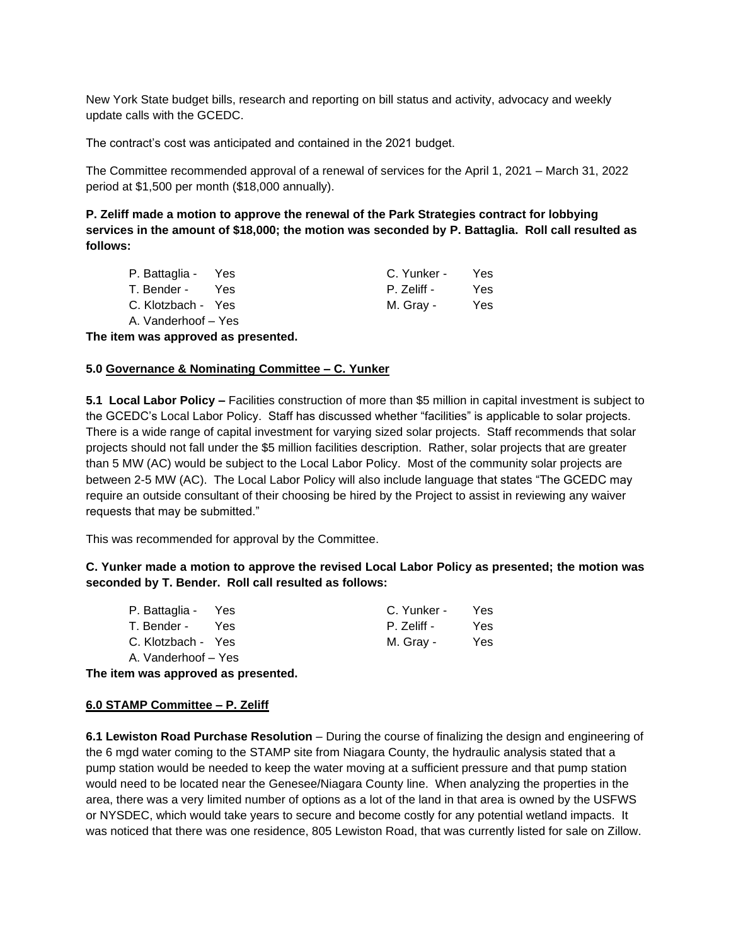New York State budget bills, research and reporting on bill status and activity, advocacy and weekly update calls with the GCEDC.

The contract's cost was anticipated and contained in the 2021 budget.

The Committee recommended approval of a renewal of services for the April 1, 2021 – March 31, 2022 period at \$1,500 per month (\$18,000 annually).

**P. Zeliff made a motion to approve the renewal of the Park Strategies contract for lobbying services in the amount of \$18,000; the motion was seconded by P. Battaglia. Roll call resulted as follows:**

| P. Battaglia - Yes  |     | C. Yunker - | Yes  |
|---------------------|-----|-------------|------|
| T. Bender -         | Yes | P. Zeliff - | Yes. |
| C. Klotzbach - Yes  |     | M. Gray -   | Yes. |
| A. Vanderhoof - Yes |     |             |      |

**The item was approved as presented.**

#### **5.0 Governance & Nominating Committee – C. Yunker**

**5.1 Local Labor Policy –** Facilities construction of more than \$5 million in capital investment is subject to the GCEDC's Local Labor Policy. Staff has discussed whether "facilities" is applicable to solar projects. There is a wide range of capital investment for varying sized solar projects. Staff recommends that solar projects should not fall under the \$5 million facilities description. Rather, solar projects that are greater than 5 MW (AC) would be subject to the Local Labor Policy. Most of the community solar projects are between 2-5 MW (AC). The Local Labor Policy will also include language that states "The GCEDC may require an outside consultant of their choosing be hired by the Project to assist in reviewing any waiver requests that may be submitted."

This was recommended for approval by the Committee.

**C. Yunker made a motion to approve the revised Local Labor Policy as presented; the motion was seconded by T. Bender. Roll call resulted as follows:**

| P. Battaglia - Yes  |       | C. Yunker - | Yes  |
|---------------------|-------|-------------|------|
| T. Bender -         | - Yes | P. Zeliff - | Yes  |
| C. Klotzbach - Yes  |       | M. Gray -   | Yes. |
| A. Vanderhoof – Yes |       |             |      |

**The item was approved as presented.**

### **6.0 STAMP Committee – P. Zeliff**

**6.1 Lewiston Road Purchase Resolution** – During the course of finalizing the design and engineering of the 6 mgd water coming to the STAMP site from Niagara County, the hydraulic analysis stated that a pump station would be needed to keep the water moving at a sufficient pressure and that pump station would need to be located near the Genesee/Niagara County line. When analyzing the properties in the area, there was a very limited number of options as a lot of the land in that area is owned by the USFWS or NYSDEC, which would take years to secure and become costly for any potential wetland impacts. It was noticed that there was one residence, 805 Lewiston Road, that was currently listed for sale on Zillow.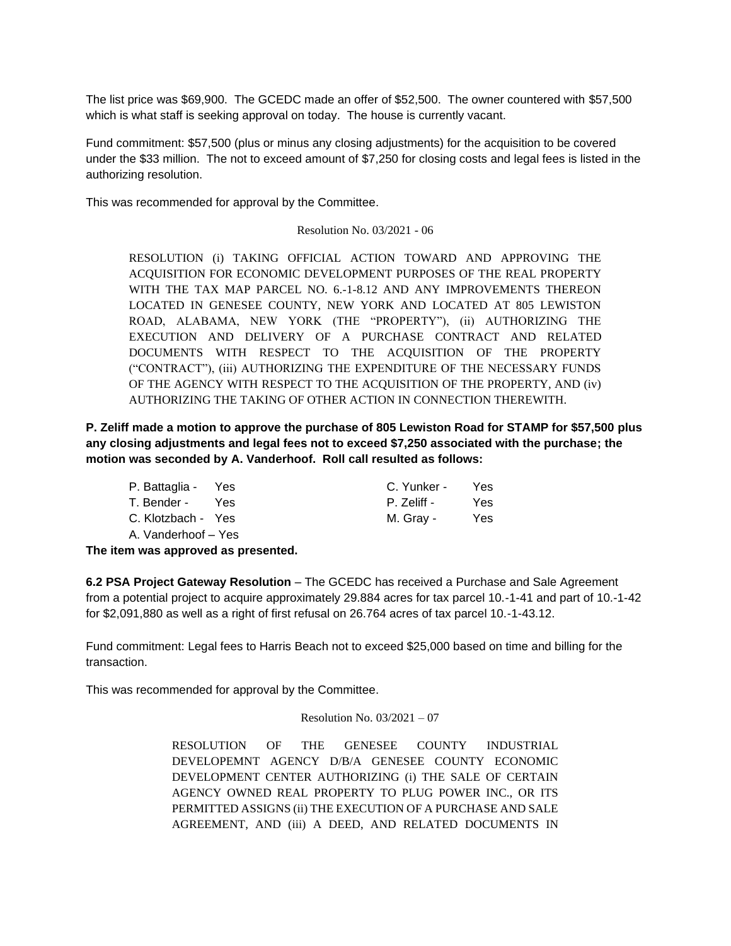The list price was \$69,900. The GCEDC made an offer of \$52,500. The owner countered with \$57,500 which is what staff is seeking approval on today. The house is currently vacant.

Fund commitment: \$57,500 (plus or minus any closing adjustments) for the acquisition to be covered under the \$33 million. The not to exceed amount of \$7,250 for closing costs and legal fees is listed in the authorizing resolution.

This was recommended for approval by the Committee.

Resolution No. 03/2021 - 06

RESOLUTION (i) TAKING OFFICIAL ACTION TOWARD AND APPROVING THE ACQUISITION FOR ECONOMIC DEVELOPMENT PURPOSES OF THE REAL PROPERTY WITH THE TAX MAP PARCEL NO. 6.-1-8.12 AND ANY IMPROVEMENTS THEREON LOCATED IN GENESEE COUNTY, NEW YORK AND LOCATED AT 805 LEWISTON ROAD, ALABAMA, NEW YORK (THE "PROPERTY"), (ii) AUTHORIZING THE EXECUTION AND DELIVERY OF A PURCHASE CONTRACT AND RELATED DOCUMENTS WITH RESPECT TO THE ACQUISITION OF THE PROPERTY ("CONTRACT"), (iii) AUTHORIZING THE EXPENDITURE OF THE NECESSARY FUNDS OF THE AGENCY WITH RESPECT TO THE ACQUISITION OF THE PROPERTY, AND (iv) AUTHORIZING THE TAKING OF OTHER ACTION IN CONNECTION THEREWITH.

**P. Zeliff made a motion to approve the purchase of 805 Lewiston Road for STAMP for \$57,500 plus any closing adjustments and legal fees not to exceed \$7,250 associated with the purchase; the motion was seconded by A. Vanderhoof. Roll call resulted as follows:**

| P. Battaglia - Yes  |       | C. Yunker - | Yes. |
|---------------------|-------|-------------|------|
| T. Bender -         | - Yes | P. Zeliff - | Yes. |
| C. Klotzbach - Yes  |       | M. Gray -   | Yes. |
| A. Vanderhoof – Yes |       |             |      |

**The item was approved as presented.**

**6.2 PSA Project Gateway Resolution** – The GCEDC has received a Purchase and Sale Agreement from a potential project to acquire approximately 29.884 acres for tax parcel 10.-1-41 and part of 10.-1-42 for \$2,091,880 as well as a right of first refusal on 26.764 acres of tax parcel 10.-1-43.12.

Fund commitment: Legal fees to Harris Beach not to exceed \$25,000 based on time and billing for the transaction.

This was recommended for approval by the Committee.

#### Resolution No. 03/2021 – 07

RESOLUTION OF THE GENESEE COUNTY INDUSTRIAL DEVELOPEMNT AGENCY D/B/A GENESEE COUNTY ECONOMIC DEVELOPMENT CENTER AUTHORIZING (i) THE SALE OF CERTAIN AGENCY OWNED REAL PROPERTY TO PLUG POWER INC., OR ITS PERMITTED ASSIGNS (ii) THE EXECUTION OF A PURCHASE AND SALE AGREEMENT, AND (iii) A DEED, AND RELATED DOCUMENTS IN